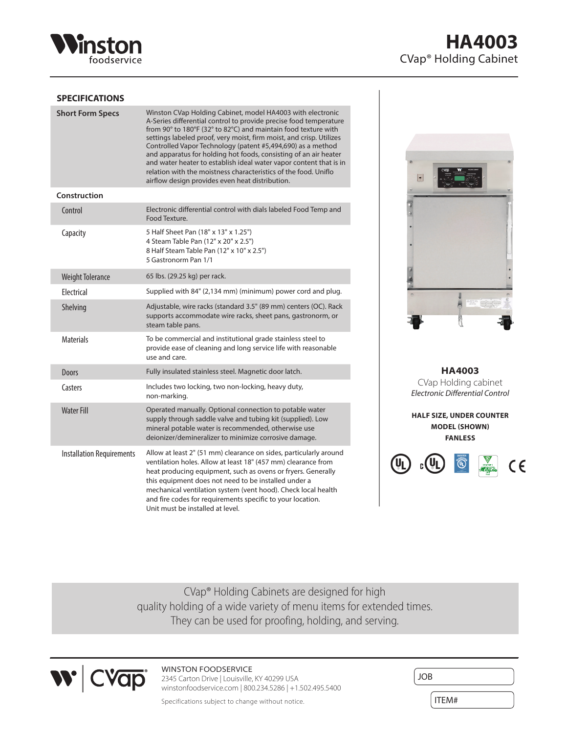

# **HA4003** CVap® Holding Cabinet

### **SPECIFICATIONS**

| <b>Short Form Specs</b>          | Winston CVap Holding Cabinet, model HA4003 with electronic<br>A-Series differential control to provide precise food temperature<br>from 90° to 180°F (32° to 82°C) and maintain food texture with<br>settings labeled proof, very moist, firm moist, and crisp. Utilizes<br>Controlled Vapor Technology (patent #5,494,690) as a method<br>and apparatus for holding hot foods, consisting of an air heater<br>and water heater to establish ideal water vapor content that is in<br>relation with the moistness characteristics of the food. Uniflo<br>airflow design provides even heat distribution. |
|----------------------------------|---------------------------------------------------------------------------------------------------------------------------------------------------------------------------------------------------------------------------------------------------------------------------------------------------------------------------------------------------------------------------------------------------------------------------------------------------------------------------------------------------------------------------------------------------------------------------------------------------------|
| Construction                     |                                                                                                                                                                                                                                                                                                                                                                                                                                                                                                                                                                                                         |
| Control                          | Electronic differential control with dials labeled Food Temp and<br>Food Texture.                                                                                                                                                                                                                                                                                                                                                                                                                                                                                                                       |
| Capacity                         | 5 Half Sheet Pan (18" x 13" x 1.25")<br>4 Steam Table Pan (12" x 20" x 2.5")<br>8 Half Steam Table Pan (12" x 10" x 2.5")<br>5 Gastronorm Pan 1/1                                                                                                                                                                                                                                                                                                                                                                                                                                                       |
| <b>Weight Tolerance</b>          | 65 lbs. (29.25 kg) per rack.                                                                                                                                                                                                                                                                                                                                                                                                                                                                                                                                                                            |
| <b>Flectrical</b>                | Supplied with 84" (2,134 mm) (minimum) power cord and plug.                                                                                                                                                                                                                                                                                                                                                                                                                                                                                                                                             |
| Shelving                         | Adjustable, wire racks (standard 3.5" (89 mm) centers (OC). Rack<br>supports accommodate wire racks, sheet pans, gastronorm, or<br>steam table pans.                                                                                                                                                                                                                                                                                                                                                                                                                                                    |
| <b>Materials</b>                 | To be commercial and institutional grade stainless steel to<br>provide ease of cleaning and long service life with reasonable<br>use and care.                                                                                                                                                                                                                                                                                                                                                                                                                                                          |
| <b>Doors</b>                     | Fully insulated stainless steel. Magnetic door latch.                                                                                                                                                                                                                                                                                                                                                                                                                                                                                                                                                   |
| Casters                          | Includes two locking, two non-locking, heavy duty,<br>non-marking.                                                                                                                                                                                                                                                                                                                                                                                                                                                                                                                                      |
| <b>Water Fill</b>                | Operated manually. Optional connection to potable water<br>supply through saddle valve and tubing kit (supplied). Low<br>mineral potable water is recommended, otherwise use<br>deionizer/demineralizer to minimize corrosive damage.                                                                                                                                                                                                                                                                                                                                                                   |
| <b>Installation Requirements</b> | Allow at least 2" (51 mm) clearance on sides, particularly around<br>ventilation holes. Allow at least 18" (457 mm) clearance from<br>heat producing equipment, such as ovens or fryers. Generally<br>this equipment does not need to be installed under a<br>mechanical ventilation system (vent hood). Check local health<br>and fire codes for requirements specific to your location.<br>Unit must be installed at level.                                                                                                                                                                           |



**HA4003** CVap Holding cabinet *Electronic Differential Control*

**HALF SIZE, UNDER COUNTER MODEL (SHOWN) FANLESS**



CVap® Holding Cabinets are designed for high quality holding of a wide variety of menu items for extended times. They can be used for proofing, holding, and serving.



## WINSTON FOODSERVICE

2345 Carton Drive | Louisville, KY 40299 USA winstonfoodservice.com | 800.234.5286 | +1.502.495.5400

Specifications subject to change without notice.

| <b>JOB</b> |  |
|------------|--|
| ITEM#      |  |